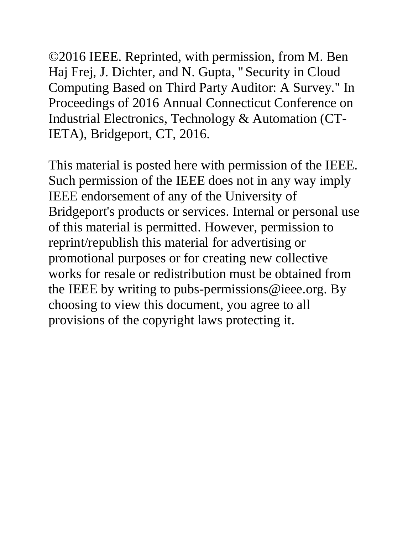©2016 IEEE. Reprinted, with permission, from M. Ben Haj Frej, J. Dichter, and N. Gupta, "Security in Cloud Computing Based on Third Party Auditor: A Survey." In Proceedings of 2016 Annual Connecticut Conference on Industrial Electronics, Technology & Automation (CT-IETA), Bridgeport, CT, 2016.

This material is posted here with permission of the IEEE. Such permission of the IEEE does not in any way imply IEEE endorsement of any of the University of Bridgeport's products or services. Internal or personal use of this material is permitted. However, permission to reprint/republish this material for advertising or promotional purposes or for creating new collective works for resale or redistribution must be obtained from the IEEE by writing to pubs-permissions @ieee.org. By choosing to view this document, you agree to all provisions of the copyright laws protecting it.